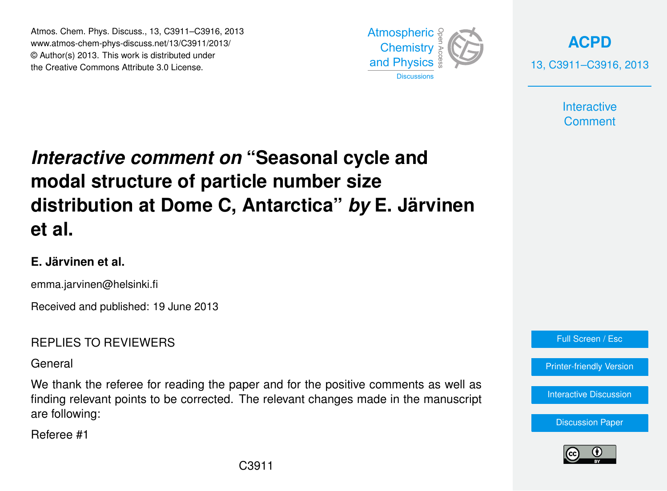Atmos. Chem. Phys. Discuss., 13, C3911–C3916, 2013 Atmospheric www.atmos-chem-phys-discuss.net/13/C3911/2013/<br>@ Author(a) 2012, This work is distributed under © Author(s) 2013. This work is distributed under the Creative Commons Attribute 3.0 License.



**[ACPD](http://www.atmos-chem-phys-discuss.net)** 13, C3911–C3916, 2013

> **Interactive Comment**

### Interactive comment on "Seasonal cycle and ،<br>C  $\overline{\phantom{a}}$ Open Access Climate **distribution at Dome C, Antarctica"** *by* **E. Järvinen modal structure of particle number size et al.**

## **E. Järvinen et al.**

emma.jarvinen@helsinki.fi

Received and published: 19 June 2013

## REPLIES TO REVIEWERS

General

We thank the referee for reading the paper and for the positive comments as well as finding relevant points to be corrected. The relevant changes made in the manuscript T<br>T  $\mathbf{a}$ r are following:

Referee #1



[Printer-friendly Version](http://www.atmos-chem-phys-discuss.net/13/C3911/2013/acpd-13-C3911-2013-print.pdf)

[Interactive Discussion](http://www.atmos-chem-phys-discuss.net/13/5729/2013/acpd-13-5729-2013-discussion.html)





Earth System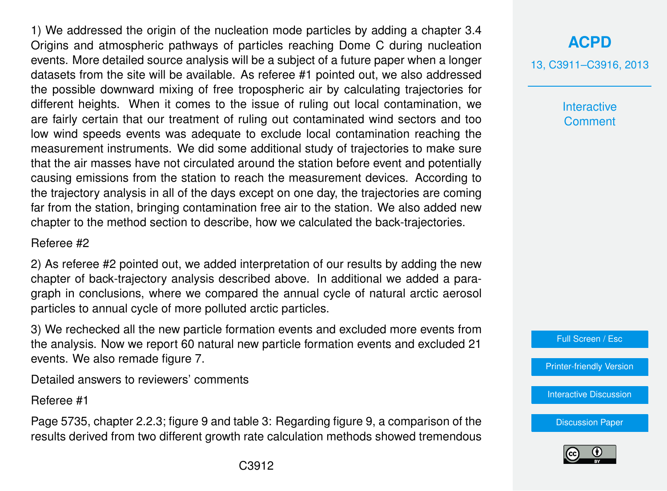1) We addressed the origin of the nucleation mode particles by adding a chapter 3.4 Origins and atmospheric pathways of particles reaching Dome C during nucleation events. More detailed source analysis will be a subject of a future paper when a longer datasets from the site will be available. As referee #1 pointed out, we also addressed the possible downward mixing of free tropospheric air by calculating trajectories for different heights. When it comes to the issue of ruling out local contamination, we are fairly certain that our treatment of ruling out contaminated wind sectors and too low wind speeds events was adequate to exclude local contamination reaching the measurement instruments. We did some additional study of trajectories to make sure that the air masses have not circulated around the station before event and potentially causing emissions from the station to reach the measurement devices. According to the trajectory analysis in all of the days except on one day, the trajectories are coming far from the station, bringing contamination free air to the station. We also added new chapter to the method section to describe, how we calculated the back-trajectories.

#### Referee #2

2) As referee #2 pointed out, we added interpretation of our results by adding the new chapter of back-trajectory analysis described above. In additional we added a paragraph in conclusions, where we compared the annual cycle of natural arctic aerosol particles to annual cycle of more polluted arctic particles.

3) We rechecked all the new particle formation events and excluded more events from the analysis. Now we report 60 natural new particle formation events and excluded 21 events. We also remade figure 7.

Detailed answers to reviewers' comments

Referee #1

Page 5735, chapter 2.2.3; figure 9 and table 3: Regarding figure 9, a comparison of the results derived from two different growth rate calculation methods showed tremendous

# **[ACPD](http://www.atmos-chem-phys-discuss.net)**

13, C3911–C3916, 2013

**Interactive Comment** 

Full Screen / Esc

[Printer-friendly Version](http://www.atmos-chem-phys-discuss.net/13/C3911/2013/acpd-13-C3911-2013-print.pdf)

[Interactive Discussion](http://www.atmos-chem-phys-discuss.net/13/5729/2013/acpd-13-5729-2013-discussion.html)

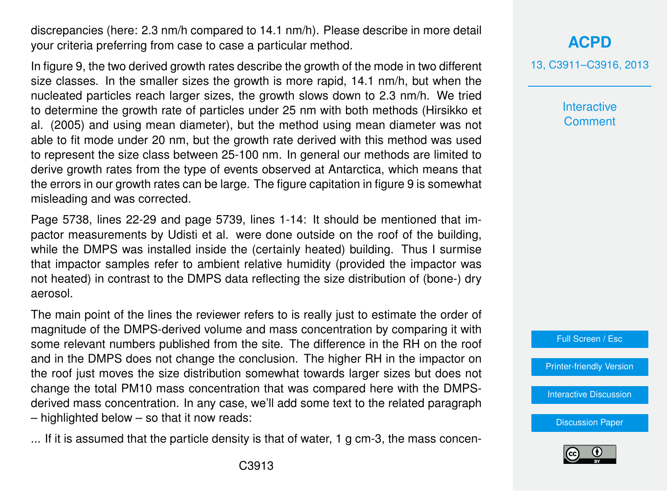discrepancies (here: 2.3 nm/h compared to 14.1 nm/h). Please describe in more detail your criteria preferring from case to case a particular method.

In figure 9, the two derived growth rates describe the growth of the mode in two different size classes. In the smaller sizes the growth is more rapid, 14.1 nm/h, but when the nucleated particles reach larger sizes, the growth slows down to 2.3 nm/h. We tried to determine the growth rate of particles under 25 nm with both methods (Hirsikko et al. (2005) and using mean diameter), but the method using mean diameter was not able to fit mode under 20 nm, but the growth rate derived with this method was used to represent the size class between 25-100 nm. In general our methods are limited to derive growth rates from the type of events observed at Antarctica, which means that the errors in our growth rates can be large. The figure capitation in figure 9 is somewhat misleading and was corrected.

Page 5738, lines 22-29 and page 5739, lines 1-14: It should be mentioned that impactor measurements by Udisti et al. were done outside on the roof of the building, while the DMPS was installed inside the (certainly heated) building. Thus I surmise that impactor samples refer to ambient relative humidity (provided the impactor was not heated) in contrast to the DMPS data reflecting the size distribution of (bone-) dry aerosol.

The main point of the lines the reviewer refers to is really just to estimate the order of magnitude of the DMPS-derived volume and mass concentration by comparing it with some relevant numbers published from the site. The difference in the RH on the roof and in the DMPS does not change the conclusion. The higher RH in the impactor on the roof just moves the size distribution somewhat towards larger sizes but does not change the total PM10 mass concentration that was compared here with the DMPSderived mass concentration. In any case, we'll add some text to the related paragraph – highlighted below – so that it now reads:

... If it is assumed that the particle density is that of water, 1 g cm-3, the mass concen-

## **[ACPD](http://www.atmos-chem-phys-discuss.net)**

13, C3911–C3916, 2013

**Interactive Comment** 



[Printer-friendly Version](http://www.atmos-chem-phys-discuss.net/13/C3911/2013/acpd-13-C3911-2013-print.pdf)

[Interactive Discussion](http://www.atmos-chem-phys-discuss.net/13/5729/2013/acpd-13-5729-2013-discussion.html)

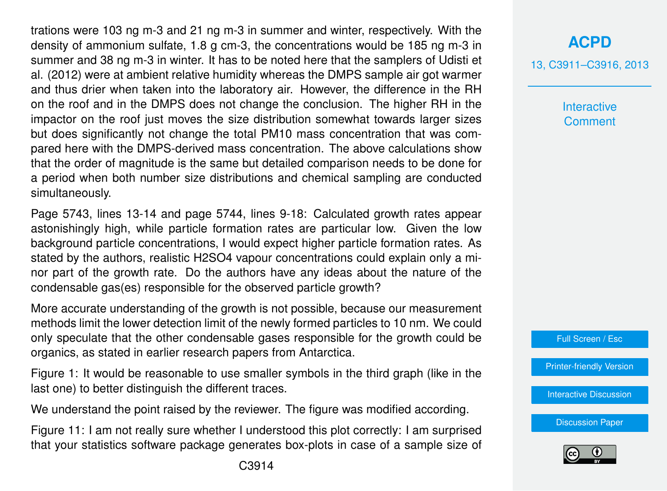trations were 103 ng m-3 and 21 ng m-3 in summer and winter, respectively. With the density of ammonium sulfate, 1.8 g cm-3, the concentrations would be 185 ng m-3 in summer and 38 ng m-3 in winter. It has to be noted here that the samplers of Udisti et al. (2012) were at ambient relative humidity whereas the DMPS sample air got warmer and thus drier when taken into the laboratory air. However, the difference in the RH on the roof and in the DMPS does not change the conclusion. The higher RH in the impactor on the roof just moves the size distribution somewhat towards larger sizes but does significantly not change the total PM10 mass concentration that was compared here with the DMPS-derived mass concentration. The above calculations show that the order of magnitude is the same but detailed comparison needs to be done for a period when both number size distributions and chemical sampling are conducted simultaneously.

Page 5743, lines 13-14 and page 5744, lines 9-18: Calculated growth rates appear astonishingly high, while particle formation rates are particular low. Given the low background particle concentrations, I would expect higher particle formation rates. As stated by the authors, realistic H2SO4 vapour concentrations could explain only a minor part of the growth rate. Do the authors have any ideas about the nature of the condensable gas(es) responsible for the observed particle growth?

More accurate understanding of the growth is not possible, because our measurement methods limit the lower detection limit of the newly formed particles to 10 nm. We could only speculate that the other condensable gases responsible for the growth could be organics, as stated in earlier research papers from Antarctica.

Figure 1: It would be reasonable to use smaller symbols in the third graph (like in the last one) to better distinguish the different traces.

We understand the point raised by the reviewer. The figure was modified according.

Figure 11: I am not really sure whether I understood this plot correctly: I am surprised that your statistics software package generates box-plots in case of a sample size of

## **[ACPD](http://www.atmos-chem-phys-discuss.net)**

13, C3911–C3916, 2013

**Interactive Comment** 

Full Screen / Esc

[Printer-friendly Version](http://www.atmos-chem-phys-discuss.net/13/C3911/2013/acpd-13-C3911-2013-print.pdf)

[Interactive Discussion](http://www.atmos-chem-phys-discuss.net/13/5729/2013/acpd-13-5729-2013-discussion.html)

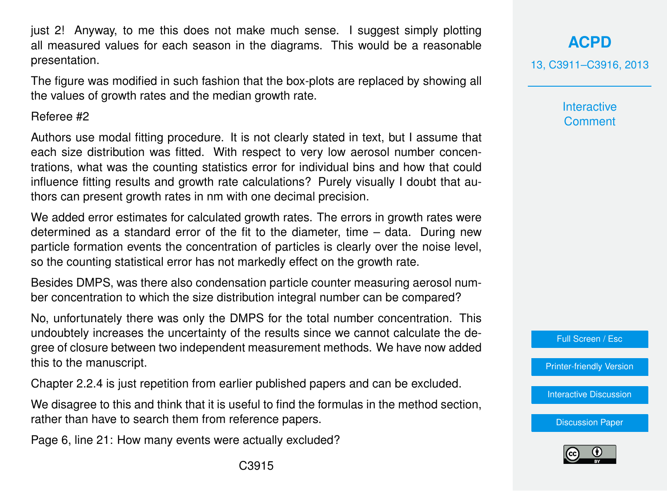just 2! Anyway, to me this does not make much sense. I suggest simply plotting all measured values for each season in the diagrams. This would be a reasonable presentation.

The figure was modified in such fashion that the box-plots are replaced by showing all the values of growth rates and the median growth rate.

#### Referee #2

Authors use modal fitting procedure. It is not clearly stated in text, but I assume that each size distribution was fitted. With respect to very low aerosol number concentrations, what was the counting statistics error for individual bins and how that could influence fitting results and growth rate calculations? Purely visually I doubt that authors can present growth rates in nm with one decimal precision.

We added error estimates for calculated growth rates. The errors in growth rates were determined as a standard error of the fit to the diameter, time – data. During new particle formation events the concentration of particles is clearly over the noise level, so the counting statistical error has not markedly effect on the growth rate.

Besides DMPS, was there also condensation particle counter measuring aerosol number concentration to which the size distribution integral number can be compared?

No, unfortunately there was only the DMPS for the total number concentration. This undoubtely increases the uncertainty of the results since we cannot calculate the degree of closure between two independent measurement methods. We have now added this to the manuscript.

Chapter 2.2.4 is just repetition from earlier published papers and can be excluded.

We disagree to this and think that it is useful to find the formulas in the method section, rather than have to search them from reference papers.

Page 6, line 21: How many events were actually excluded?

**[ACPD](http://www.atmos-chem-phys-discuss.net)**

13, C3911–C3916, 2013

**Interactive Comment** 

Full Screen / Esc

[Printer-friendly Version](http://www.atmos-chem-phys-discuss.net/13/C3911/2013/acpd-13-C3911-2013-print.pdf)

[Interactive Discussion](http://www.atmos-chem-phys-discuss.net/13/5729/2013/acpd-13-5729-2013-discussion.html)